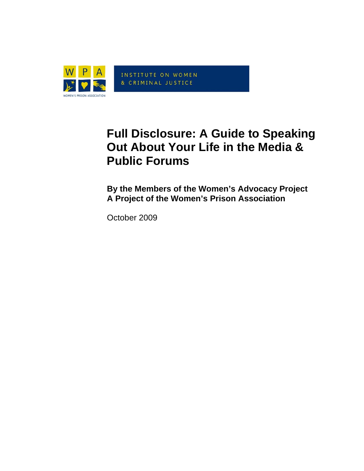

INSTITUTE ON WOMEN & CRIMINAL JUSTICE

# **Full Disclosure: A Guide to Speaking Out About Your Life in the Media & Public Forums**

**By the Members of the Women's Advocacy Project A Project of the Women's Prison Association** 

October 2009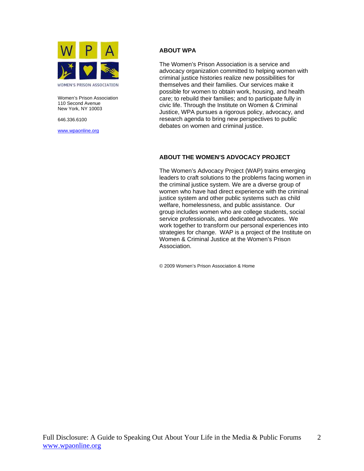

Women's Prison Association 110 Second Avenue New York, NY 10003

646.336.6100

[www.wpaonline.org](http://www.wpaonline.org)

#### **ABOUT WPA**

The Women's Prison Association is a service and advocacy organization committed to helping women with criminal justice histories realize new possibilities for themselves and their families. Our services make it possible for women to obtain work, housing, and health care; to rebuild their families; and to participate fully in civic life. Through the Institute on Women & Criminal Justice, WPA pursues a rigorous policy, advocacy, and research agenda to bring new perspectives to public debates on women and criminal justice.

#### **ABOUT THE WOMEN'S ADVOCACY PROJECT**

The Women's Advocacy Project (WAP) trains emerging leaders to craft solutions to the problems facing women in the criminal justice system. We are a diverse group of women who have had direct experience with the criminal justice system and other public systems such as child welfare, homelessness, and public assistance. Our group includes women who are college students, social service professionals, and dedicated advocates. We work together to transform our personal experiences into strategies for change. WAP is a project of the Institute on Women & Criminal Justice at the Women's Prison Association.

© 2009 Women's Prison Association & Home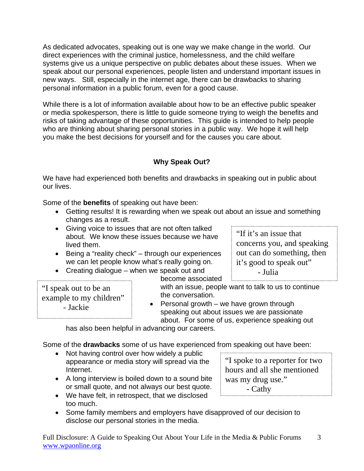As dedicated advocates, speaking out is one way we make change in the world. Our direct experiences with the criminal justice, homelessness, and the child welfare systems give us a unique perspective on public debates about these issues. When we speak about our personal experiences, people listen and understand important issues in new ways. Still, especially in the internet age, there can be drawbacks to sharing personal information in a public forum, even for a good cause.

While there is a lot of information available about how to be an effective public speaker or media spokesperson, there is little to guide someone trying to weigh the benefits and risks of taking advantage of these opportunities. This guide is intended to help people who are thinking about sharing personal stories in a public way. We hope it will help you make the best decisions for yourself and for the causes you care about.

# **Why Speak Out?**

We have had experienced both benefits and drawbacks in speaking out in public about our lives.

Some of the **benefits** of speaking out have been:

- Getting results! It is rewarding when we speak out about an issue and something changes as a result.
- Giving voice to issues that are not often talked about. We know these issues because we have lived them.
- Being a "reality check" through our experiences we can let people know what's really going on.
- Creating dialogue when we speak out and

become associated

"I speak out to be an example to my children" - Jackie

with an issue, people want to talk to us to continue the conversation.

• Personal growth – we have grown through speaking out about issues we are passionate about. For some of us, experience speaking out

has also been helpful in advancing our careers.

Some of the **drawbacks** some of us have experienced from speaking out have been: 

- Not having control over how widely a public appearance or media story will spread via the Internet.
- A long interview is boiled down to a sound bite or small quote, and not always our best quote.
- We have felt, in retrospect, that we disclosed too much.
- Some family members and employers have disapproved of our decision to disclose our personal stories in the media.

Full Disclosure: A Guide to Speaking Out About Your Life in the Media & Public Forums www.wpaonline.org 3

"I spoke to a reporter for two hours and all she mentioned

was my drug use." - Cathy

"If it's an issue that

concerns you, and speaking out can do something, then it's good to speak out" - Julia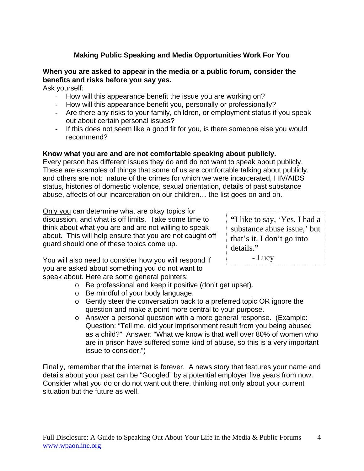## **Making Public Speaking and Media Opportunities Work For You**

## **When you are asked to appear in the media or a public forum, consider the benefits and risks before you say yes.**

Ask yourself:

- How will this appearance benefit the issue you are working on?
- How will this appearance benefit you, personally or professionally?
- Are there any risks to your family, children, or employment status if you speak out about certain personal issues?
- If this does not seem like a good fit for you, is there someone else you would recommend?

#### **Know what you are and are not comfortable speaking about publicly.**

Every person has different issues they do and do not want to speak about publicly. These are examples of things that some of us are comfortable talking about publicly, and others are not: nature of the crimes for which we were incarcerated, HIV/AIDS status, histories of domestic violence, sexual orientation, details of past substance abuse, affects of our incarceration on our children… the list goes on and on.

Only you can determine what are okay topics for discussion, and what is off limits. Take some time to think about what you are and are not willing to speak about. This will help ensure that you are not caught off guard should one of these topics come up.

**"**I like to say, 'Yes, I had a substance abuse issue,' but that's it. I don't go into details.**"**

You will also need to consider how you will respond if  $\qquad$  - Lucy you are asked about something you do not want to speak about. Here are some general pointers:

- o Be professional and keep it positive (don't get upset).
- o Be mindful of your body language.
- o Gently steer the conversation back to a preferred topic OR ignore the question and make a point more central to your purpose.
- o Answer a personal question with a more general response. (Example: Question: "Tell me, did your imprisonment result from you being abused as a child?" Answer: "What we know is that well over 80% of women who are in prison have suffered some kind of abuse, so this is a very important issue to consider.")

Finally, remember that the internet is forever. A news story that features your name and details about your past can be "Googled" by a potential employer five years from now. Consider what you do or do not want out there, thinking not only about your current situation but the future as well.